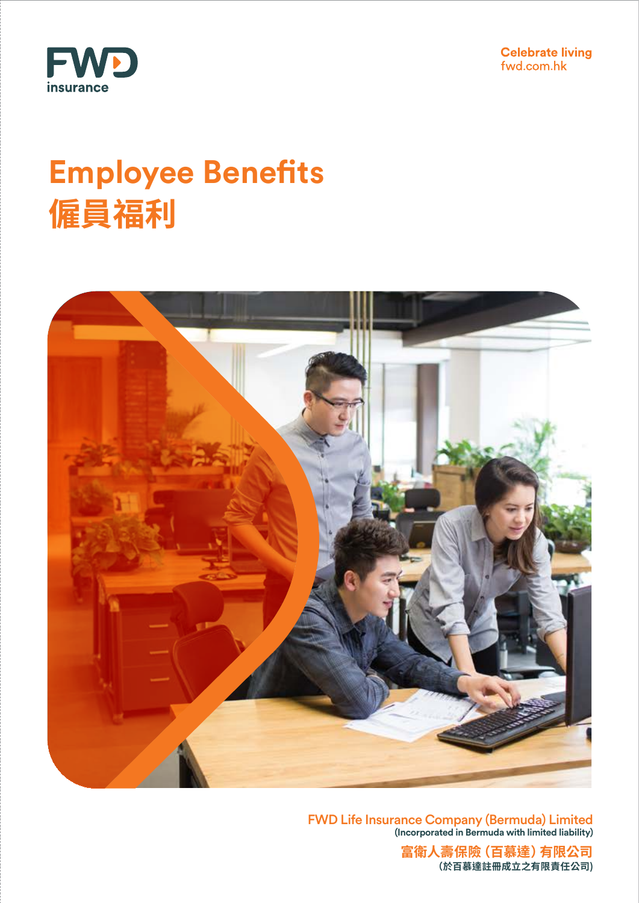



# **Employee Benefits 僱員福利**



FWD Life Insurance Company (Bermuda) Limited **(Incorporated in Bermuda with limited liability)**

> **富衛人壽保險(百慕達)有限公司 (於百慕達註冊成立之有限責任公司)**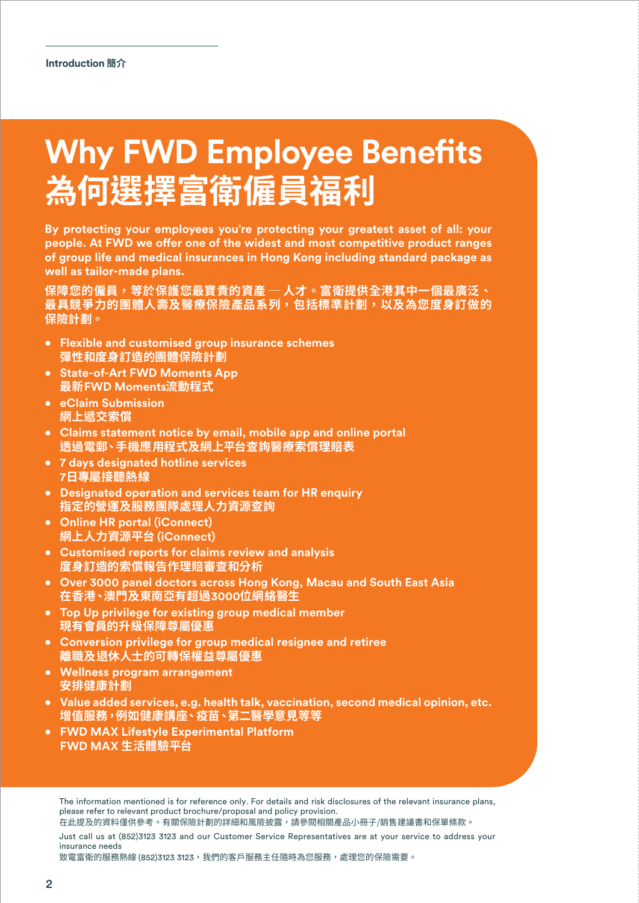# **Why FWD Employee Benefits 為何選擇富衛僱員福利**

**By protecting your employees you're protecting your greatest asset of all: your people. At FWD we offer one of the widest and most competitive product ranges of group life and medical insurances in Hong Kong including standard package as well as tailor-made plans.**

**保障您的僱員,等於保護您最寶貴的資產 ─ 人才。富衛提供全港其中一個最廣泛、 最具競爭力的團體人壽及醫療保險產品系列,包括標準計劃,以及為您度身訂做的 保險計劃。**

- **Flexible and customised group insurance schemes 彈性和度身訂造的團體保險計劃**
- **State-of-Art FWD Moments App 最新FWD Moments流動程式**
- **eClaim Submission 網上遞交索償**
- **Claims statement notice by email, mobile app and online portal 透過電郵、手機應用程式及網上平台查詢醫療索償理賠表**
- **7 days designated hotline services 7日專屬接聽熱線**
- **Designated operation and services team for HR enquiry 指定的營運及服務團隊處理人力資源查詢**
- **Online HR portal (iConnect) 網上人力資源平台 (iConnect)**
- **Customised reports for claims review and analysis 度身訂造的索償報告作理賠審查和分析**
- **Over 3000 panel doctors across Hong Kong, Macau and South East Asia 在香港、澳門及東南亞有超過3000位網絡醫生**
- **Top Up privilege for existing group medical member 現有會員的升級保障尊屬優惠**
- **Conversion privilege for group medical resignee and retiree 離職及退休人士的可轉保權益尊屬優惠**
- **Wellness program arrangement 安排健康計劃**
- **Value added services, e.g. health talk, vaccination, second medical opinion, etc. 增值服務,例如健康講座、疫苗、第二醫學意見等等**
- **FWD MAX Lifestyle Experimental Platform FWD MAX 生活體驗平台**

The information mentioned is for reference only. For details and risk disclosures of the relevant insurance plans, please refer to relevant product brochure/proposal and policy provision.

Just call us at (852)3123 3123 and our Customer Service Representatives are at your service to address your insurance needs

致電富衛的服務熱線 (852)3123 3123,我們的客戶服務主任隨時為您服務,處理您的保險需要。

在此提及的資料僅供參考。有關保險計劃的詳細和風險披露,請參閱相關產品小冊子/銷售建議書和保單條款。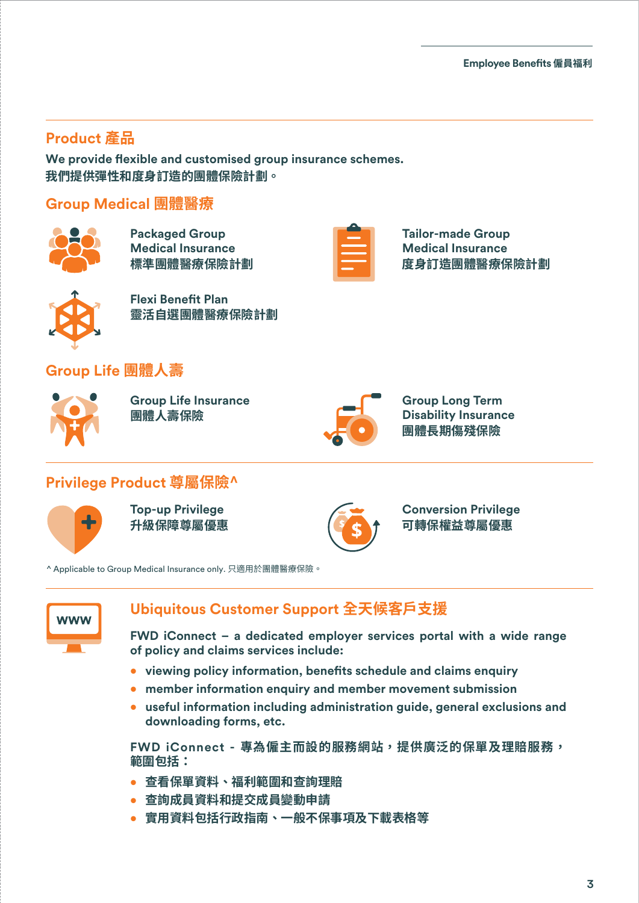## **Product 產品**

We provide flexible and customised group insurance schemes. **我們提供彈性和度身訂造的團體保險計劃。**

#### **Group Medical 團體醫療**



**Packaged Group Medical Insurance 標準團體醫療保險計劃**



**Tailor-made Group Medical Insurance 度身訂造團體醫療保險計劃**



**Flexi Benefit Plan 靈活自選團體醫療保險計劃**

## **Group Life 團體人壽**



**Group Life Insurance 團體人壽保險**



**Group Long Term Disability Insurance 團體長期傷殘保險**

### **Privilege Product 尊屬保險^**



**Top-up Privilege 升級保障尊屬優惠**



**Conversion Privilege 可轉保權益尊屬優惠**

^ Applicable to Group Medical Insurance only. 只適用於團體醫療保險。



### **Ubiquitous Customer Support 全天候客戶支援**

**FWD iConnect – a dedicated employer services portal with a wide range of policy and claims services include:**

- **•** viewing policy information, benefits schedule and claims enquiry
- **member information enquiry and member movement submission**
- **useful information including administration guide, general exclusions and downloading forms, etc.**

**FWD iConnect - 專為僱主而設的服務網站,提供廣泛的保單及理賠服務, 範圍包括:**

- **查看保單資料、福利範圍和查詢理賠**
- **查詢成員資料和提交成員變動申請**
- **實用資料包括行政指南、一般不保事項及下載表格等**